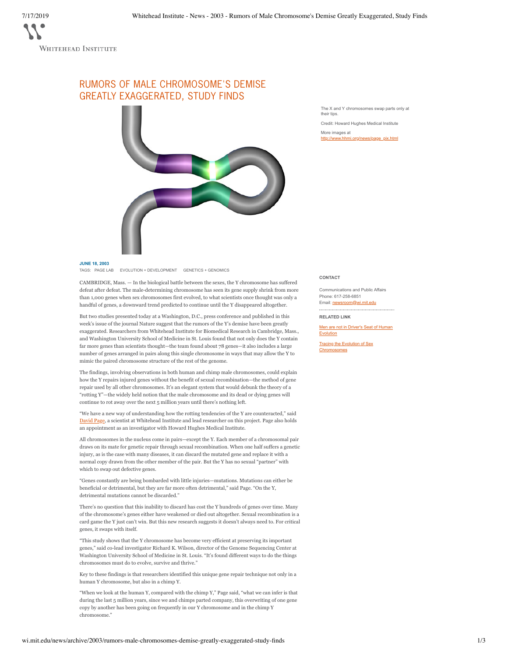WHITEHEAD INSTITUTE

# RUMORS OF MALE CHROMOSOME'S DEMISE GREATLY EXAGGERATED, STUDY FINDS



The X and Y chromosomes swap parts only at their tips. Credit: Howard Hughes Medical Institute

More images at

http://www.hhmi.org/news/page\_pix.html

**JUNE 18, 2003** TAGS: PAGE LAB EVOLUTION + DEVELOPMENT GENETICS + GENOMICS

CAMBRIDGE, Mass. — In the biological battle between the sexes, the Y chromosome has suffered defeat after defeat. The male-determining chromosome has seen its gene supply shrink from more than 1,000 genes when sex chromosomes first evolved, to what scientists once thought was only a handful of genes, a downward trend predicted to continue until the Y disappeared altogether.

But two studies presented today at a Washington, D.C., press conference and published in this week's issue of the journal Nature suggest that the rumors of the Y's demise have been greatly exaggerated. Researchers from Whitehead Institute for Biomedical Research in Cambridge, Mass., and Washington University School of Medicine in St. Louis found that not only does the Y contain far more genes than scientists thought—the team found about 78 genes—it also includes a large number of genes arranged in pairs along this single chromosome in ways that may allow the Y to mimic the paired chromosome structure of the rest of the genome.

The findings, involving observations in both human and chimp male chromosomes, could explain how the Y repairs injured genes without the benefit of sexual recombination—the method of gene repair used by all other chromosomes. It's an elegant system that would debunk the theory of a "rotting Y"—the widely held notion that the male chromosome and its dead or dying genes will continue to rot away over the next 5 million years until there's nothing left.

"We have a new way of understanding how the rotting tendencies of the Y are counteracted," said David Page, a scientist at Whitehead Institute and lead researcher on this project. Page also holds an appointment as an investigator with Howard Hughes Medical Institute.

All chromosomes in the nucleus come in pairs—except the Y. Each member of a chromosomal pair draws on its mate for genetic repair through sexual recombination. When one half suffers a genetic injury, as is the case with many diseases, it can discard the mutated gene and replace it with a normal copy drawn from the other member of the pair. But the Y has no sexual "partner" with which to swap out defective genes.

"Genes constantly are being bombarded with little injuries—mutations. Mutations can either be beneficial or detrimental, but they are far more often detrimental," said Page. "On the Y, detrimental mutations cannot be discarded."

There's no question that this inability to discard has cost the Y hundreds of genes over time. Many of the chromosome's genes either have weakened or died out altogether. Sexual recombination is a card game the Y just can't win. But this new research suggests it doesn't always need to. For critical genes, it swaps with itself.

"This study shows that the Y chromosome has become very efficient at preserving its important genes," said co-lead investigator Richard K. Wilson, director of the Genome Sequencing Center at Washington University School of Medicine in St. Louis. "It's found different ways to do the things chromosomes must do to evolve, survive and thrive."

Key to these findings is that researchers identified this unique gene repair technique not only in a human Y chromosome, but also in a chimp Y.

"When we look at the human Y, compared with the chimp Y," Page said, "what we can infer is that during the last 5 million years, since we and chimps parted company, this overwriting of one gene copy by another has been going on frequently in our Y chromosome and in the chimp Y chromosome."

### **CONTACT**

Communications and Public Affairs Phone: 617-258-6851 Email: newsroom@wi.mit.edu

**RELATED LINK**

Men are not in Driver's Seat of Human Evolution

Tracing the Evolution of Sex Chromosomes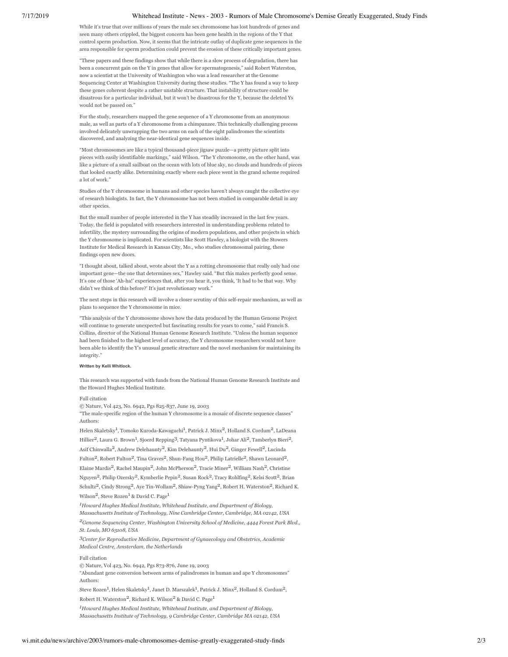### 7/17/2019 Whitehead Institute - News - 2003 - Rumors of Male Chromosome's Demise Greatly Exaggerated, Study Finds

While it's true that over millions of years the male sex chromosome has lost hundreds of genes and seen many others crippled, the biggest concern has been gene health in the regions of the Y that control sperm production. Now, it seems that the intricate outlay of duplicate gene sequences in the area responsible for sperm production could prevent the erosion of these critically important genes.

"These papers and these findings show that while there is a slow process of degradation, there has been a concurrent gain on the Y in genes that allow for spermatogenesis," said Robert Waterston, now a scientist at the University of Washington who was a lead researcher at the Genome Sequencing Center at Washington University during these studies. "The Y has found a way to keep these genes coherent despite a rather unstable structure. That instability of structure could be disastrous for a particular individual, but it won't be disastrous for the Y, because the deleted Ys would not be passed on."

For the study, researchers mapped the gene sequence of a Y chromosome from an anonymous male, as well as parts of a Y chromosome from a chimpanzee. This technically challenging process involved delicately unwrapping the two arms on each of the eight palindromes the scientists discovered, and analyzing the near-identical gene sequences inside.

"Most chromosomes are like a typical thousand-piece jigsaw puzzle—a pretty picture split into pieces with easily identifiable markings," said Wilson. "The Y chromosome, on the other hand, was like a picture of a small sailboat on the ocean with lots of blue sky, no clouds and hundreds of pieces that looked exactly alike. Determining exactly where each piece went in the grand scheme required a lot of work.

Studies of the Y chromosome in humans and other species haven't always caught the collective eye of research biologists. In fact, the Y chromosome has not been studied in comparable detail in any other species.

But the small number of people interested in the Y has steadily increased in the last few years. Today, the field is populated with researchers interested in understanding problems related to infertility, the mystery surrounding the origins of modern populations, and other projects in which the Y chromosome is implicated. For scientists like Scott Hawley, a biologist with the Stowers Institute for Medical Research in Kansas City, Mo., who studies chromosomal pairing, these findings open new doors.

"I thought about, talked about, wrote about the Y as a rotting chromosome that really only had one important gene—the one that determines sex," Hawley said. "But this makes perfectly good sense. It's one of those 'Ah-ha!' experiences that, after you hear it, you think, 'It had to be that way. Why didn't we think of this before?' It's just revolutionary work."

The next steps in this research will involve a closer scrutiny of this self-repair mechanism, as well as plans to sequence the Y chromosome in mice.

"This analysis of the Y chromosome shows how the data produced by the Human Genome Project will continue to generate unexpected but fascinating results for years to come," said Francis S. Collins, director of the National Human Genome Research Institute. "Unless the human sequence had been finished to the highest level of accuracy, the Y chromosome researchers would not have been able to identify the Y's unusual genetic structure and the novel mechanism for maintaining its integrity."

## **Written by Kelli Whitlock.**

This research was supported with funds from the National Human Genome Research Institute and the Howard Hughes Medical Institute.

#### Full citation

© Nature, Vol 423, No. 6942, Pgs 825-837, June 19, 2003

"The male-specific region of the human Y chromosome is a mosaic of discrete sequence classes" Authors:

Helen Skaletsky<sup>1</sup>, Tomoko Kuroda-Kawaguchi<sup>1</sup>, Patrick J. Minx<sup>2</sup>, Holland S. Cordum<sup>2</sup>, LaDeana Hillier<sup>2</sup>, Laura G. Brown<sup>1</sup>, Sjoerd Repping<sup>3</sup>, Tatyana Pyntikova<sup>1</sup>, Johar Ali<sup>2</sup>, Tamberlyn Bieri<sup>2</sup>, Asif Chinwalla<sup>2</sup>, Andrew Delehaunty<sup>2</sup>, Kim Delehaunty<sup>2</sup>, Hui Du<sup>2</sup>, Ginger Fewell<sup>2</sup>, Lucinda Fulton<sup>2</sup>, Robert Fulton<sup>2</sup>, Tina Graves<sup>2</sup>, Shun-Fang Hou<sup>2</sup>, Philip Latrielle<sup>2</sup>, Shawn Leonard<sup>2</sup>, Elaine Mardis2, Rachel Maupin2, John McPherson2, Tracie Miner2, William Nash2, Christine Nguyen<sup>2</sup>, Philip Ozersky<sup>2</sup>, Kymberlie Pepin<sup>2</sup>, Susan Rock<sup>2</sup>, Tracy Rohlfing<sup>2</sup>, Kelsi Scott<sup>2</sup>, Brian Schultz2, Cindy Strong2, Aye Tin-Wollam2, Shiaw-Pyng Yang2, Robert H. Waterston2, Richard K. Wilson<sup>2</sup>, Steve Rozen<sup>1</sup> & David C. Page<sup>1</sup>

*1Howard Hughes Medical Institute, Whitehead Institute, and Department of Biology, Massachusetts Institute of Technology, Nine Cambridge Center, Cambridge, MA 02142, USA 2Genome Sequencing Center, Washington University School of Medicine, 4444 Forest Park Blvd., St. Louis, MO 63108, USA*

*3Center for Reproductive Medicine, Department of Gynaecology and Obstetrics, Academic Medical Centre, Amsterdam, the Netherlands*

Full citation

© Nature, Vol 423, No. 6942, Pgs 873-876, June 19, 2003

"Abundant gene conversion between arms of palindromes in human and ape Y chromosomes" Authors:

Steve Rozen<sup>1</sup>, Helen Skaletsky<sup>1</sup>, Janet D. Marszalek<sup>1</sup>, Patrick J. Minx<sup>2</sup>, Holland S. Cordum<sup>2</sup>,

Robert H. Waterston<sup>2</sup>, Richard K. Wilson<sup>2</sup> & David C. Page<sup>1</sup>

*1Howard Hughes Medical Institute, Whitehead Institute, and Department of Biology, Massachusetts Institute of Technology, 9 Cambridge Center, Cambridge MA 02142, USA*